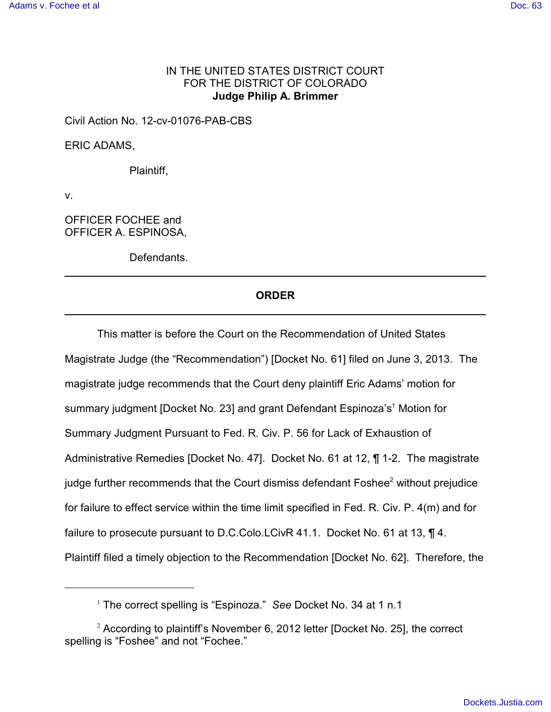# IN THE UNITED STATES DISTRICT COURT FOR THE DISTRICT OF COLORADO **Judge Philip A. Brimmer**

Civil Action No. 12-cv-01076-PAB-CBS

ERIC ADAMS,

Plaintiff,

v.

OFFICER FOCHEE and OFFICER A. ESPINOSA,

Defendants.

## **ORDER**

This matter is before the Court on the Recommendation of United States Magistrate Judge (the "Recommendation") [Docket No. 61] filed on June 3, 2013. The magistrate judge recommends that the Court deny plaintiff Eric Adams' motion for summary judgment [Docket No. 23] and grant Defendant Espinoza's<sup>1</sup> Motion for Summary Judgment Pursuant to Fed. R. Civ. P. 56 for Lack of Exhaustion of Administrative Remedies [Docket No. 47]. Docket No. 61 at 12, ¶ 1-2. The magistrate judge further recommends that the Court dismiss defendant Foshee<sup>2</sup> without prejudice for failure to effect service within the time limit specified in Fed. R. Civ. P. 4(m) and for failure to prosecute pursuant to D.C.Colo.LCivR 41.1. Docket No. 61 at 13, ¶ 4. Plaintiff filed a timely objection to the Recommendation [Docket No. 62]. Therefore, the

<sup>&</sup>lt;sup>1</sup> The correct spelling is "Espinoza." See Docket No. 34 at 1 n.1

 $2$  According to plaintiff's November 6, 2012 letter [Docket No. 25], the correct spelling is "Foshee" and not "Fochee."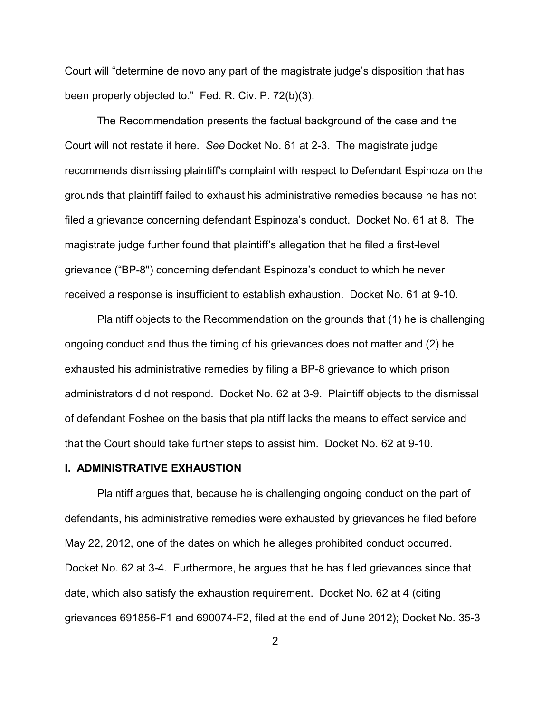Court will "determine de novo any part of the magistrate judge's disposition that has been properly objected to." Fed. R. Civ. P. 72(b)(3).

The Recommendation presents the factual background of the case and the Court will not restate it here. *See* Docket No. 61 at 2-3. The magistrate judge recommends dismissing plaintiff's complaint with respect to Defendant Espinoza on the grounds that plaintiff failed to exhaust his administrative remedies because he has not filed a grievance concerning defendant Espinoza's conduct. Docket No. 61 at 8. The magistrate judge further found that plaintiff's allegation that he filed a first-level grievance ("BP-8") concerning defendant Espinoza's conduct to which he never received a response is insufficient to establish exhaustion. Docket No. 61 at 9-10.

Plaintiff objects to the Recommendation on the grounds that (1) he is challenging ongoing conduct and thus the timing of his grievances does not matter and (2) he exhausted his administrative remedies by filing a BP-8 grievance to which prison administrators did not respond. Docket No. 62 at 3-9. Plaintiff objects to the dismissal of defendant Foshee on the basis that plaintiff lacks the means to effect service and that the Court should take further steps to assist him. Docket No. 62 at 9-10.

### **I. ADMINISTRATIVE EXHAUSTION**

Plaintiff argues that, because he is challenging ongoing conduct on the part of defendants, his administrative remedies were exhausted by grievances he filed before May 22, 2012, one of the dates on which he alleges prohibited conduct occurred. Docket No. 62 at 3-4. Furthermore, he argues that he has filed grievances since that date, which also satisfy the exhaustion requirement. Docket No. 62 at 4 (citing grievances 691856-F1 and 690074-F2, filed at the end of June 2012); Docket No. 35-3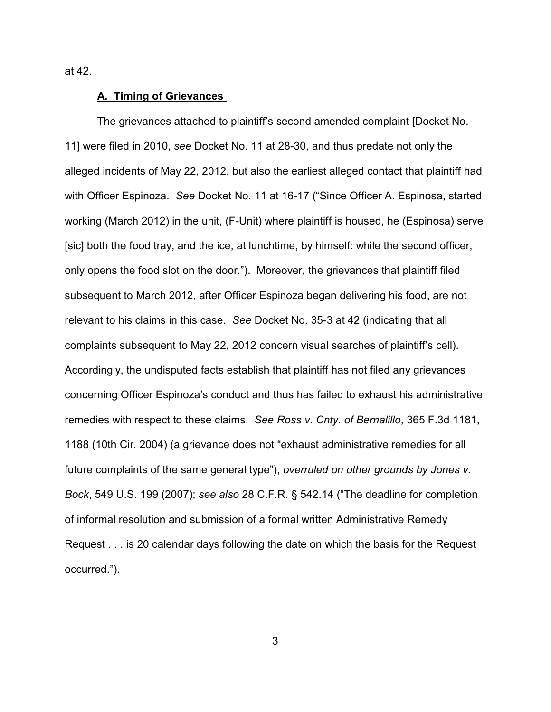at 42.

### **A. Timing of Grievances**

The grievances attached to plaintiff's second amended complaint [Docket No. 11] were filed in 2010, *see* Docket No. 11 at 28-30, and thus predate not only the alleged incidents of May 22, 2012, but also the earliest alleged contact that plaintiff had with Officer Espinoza. *See* Docket No. 11 at 16-17 ("Since Officer A. Espinosa, started working (March 2012) in the unit, (F-Unit) where plaintiff is housed, he (Espinosa) serve [sic] both the food tray, and the ice, at lunchtime, by himself: while the second officer, only opens the food slot on the door."). Moreover, the grievances that plaintiff filed subsequent to March 2012, after Officer Espinoza began delivering his food, are not relevant to his claims in this case. *See* Docket No. 35-3 at 42 (indicating that all complaints subsequent to May 22, 2012 concern visual searches of plaintiff's cell). Accordingly, the undisputed facts establish that plaintiff has not filed any grievances concerning Officer Espinoza's conduct and thus has failed to exhaust his administrative remedies with respect to these claims. *See Ross v. Cnty. of Bernalillo*, 365 F.3d 1181, 1188 (10th Cir. 2004) (a grievance does not "exhaust administrative remedies for all future complaints of the same general type"), *overruled on other grounds by Jones v. Bock*, 549 U.S. 199 (2007); *see also* 28 C.F.R. § 542.14 ("The deadline for completion of informal resolution and submission of a formal written Administrative Remedy Request . . . is 20 calendar days following the date on which the basis for the Request occurred.").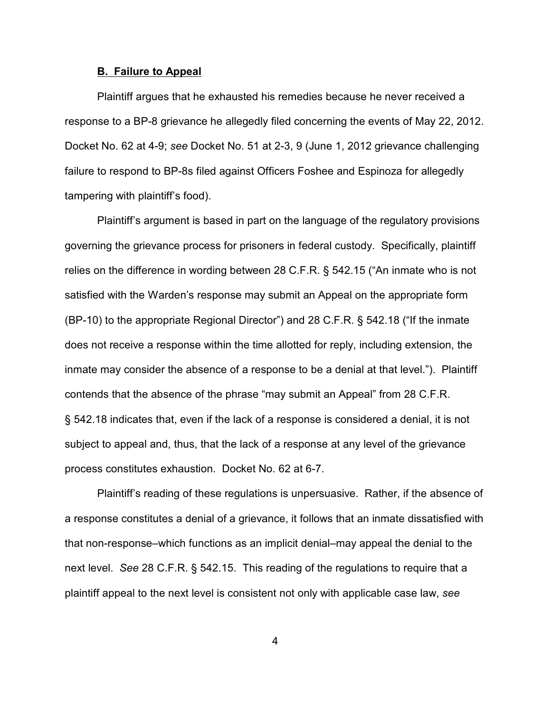### **B. Failure to Appeal**

Plaintiff argues that he exhausted his remedies because he never received a response to a BP-8 grievance he allegedly filed concerning the events of May 22, 2012. Docket No. 62 at 4-9; *see* Docket No. 51 at 2-3, 9 (June 1, 2012 grievance challenging failure to respond to BP-8s filed against Officers Foshee and Espinoza for allegedly tampering with plaintiff's food).

Plaintiff's argument is based in part on the language of the regulatory provisions governing the grievance process for prisoners in federal custody. Specifically, plaintiff relies on the difference in wording between 28 C.F.R. § 542.15 ("An inmate who is not satisfied with the Warden's response may submit an Appeal on the appropriate form (BP-10) to the appropriate Regional Director") and 28 C.F.R. § 542.18 ("If the inmate does not receive a response within the time allotted for reply, including extension, the inmate may consider the absence of a response to be a denial at that level."). Plaintiff contends that the absence of the phrase "may submit an Appeal" from 28 C.F.R. § 542.18 indicates that, even if the lack of a response is considered a denial, it is not subject to appeal and, thus, that the lack of a response at any level of the grievance process constitutes exhaustion. Docket No. 62 at 6-7.

Plaintiff's reading of these regulations is unpersuasive. Rather, if the absence of a response constitutes a denial of a grievance, it follows that an inmate dissatisfied with that non-response–which functions as an implicit denial–may appeal the denial to the next level. *See* 28 C.F.R. § 542.15. This reading of the regulations to require that a plaintiff appeal to the next level is consistent not only with applicable case law, *see*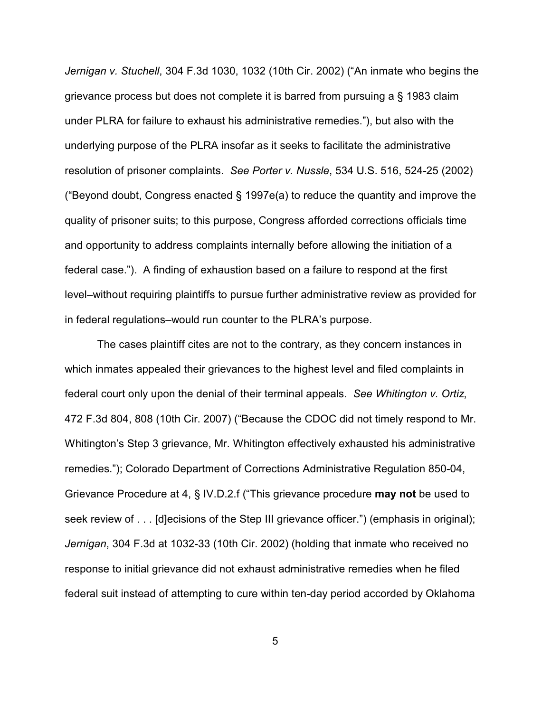*Jernigan v. Stuchell*, 304 F.3d 1030, 1032 (10th Cir. 2002) ("An inmate who begins the grievance process but does not complete it is barred from pursuing a § 1983 claim under PLRA for failure to exhaust his administrative remedies."), but also with the underlying purpose of the PLRA insofar as it seeks to facilitate the administrative resolution of prisoner complaints. *See Porter v. Nussle*, 534 U.S. 516, 524-25 (2002) ("Beyond doubt, Congress enacted § 1997e(a) to reduce the quantity and improve the quality of prisoner suits; to this purpose, Congress afforded corrections officials time and opportunity to address complaints internally before allowing the initiation of a federal case."). A finding of exhaustion based on a failure to respond at the first level–without requiring plaintiffs to pursue further administrative review as provided for in federal regulations–would run counter to the PLRA's purpose.

The cases plaintiff cites are not to the contrary, as they concern instances in which inmates appealed their grievances to the highest level and filed complaints in federal court only upon the denial of their terminal appeals. *See Whitington v. Ortiz*, 472 F.3d 804, 808 (10th Cir. 2007) ("Because the CDOC did not timely respond to Mr. Whitington's Step 3 grievance, Mr. Whitington effectively exhausted his administrative remedies."); Colorado Department of Corrections Administrative Regulation 850-04, Grievance Procedure at 4, § IV.D.2.f ("This grievance procedure **may not** be used to seek review of . . . [d]ecisions of the Step III grievance officer.") (emphasis in original); *Jernigan*, 304 F.3d at 1032-33 (10th Cir. 2002) (holding that inmate who received no response to initial grievance did not exhaust administrative remedies when he filed federal suit instead of attempting to cure within ten-day period accorded by Oklahoma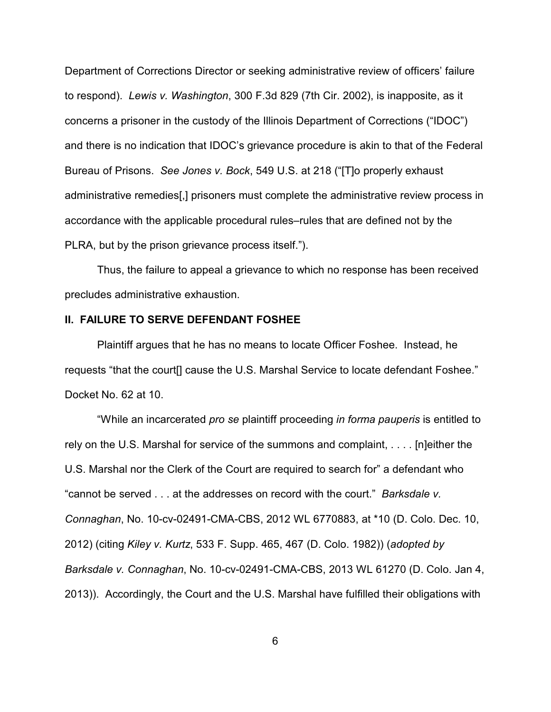Department of Corrections Director or seeking administrative review of officers' failure to respond). *Lewis v. Washington*, 300 F.3d 829 (7th Cir. 2002), is inapposite, as it concerns a prisoner in the custody of the Illinois Department of Corrections ("IDOC") and there is no indication that IDOC's grievance procedure is akin to that of the Federal Bureau of Prisons. *See Jones v. Bock*, 549 U.S. at 218 ("[T]o properly exhaust administrative remedies[,] prisoners must complete the administrative review process in accordance with the applicable procedural rules–rules that are defined not by the PLRA, but by the prison grievance process itself.").

Thus, the failure to appeal a grievance to which no response has been received precludes administrative exhaustion.

### **II. FAILURE TO SERVE DEFENDANT FOSHEE**

Plaintiff argues that he has no means to locate Officer Foshee. Instead, he requests "that the court[] cause the U.S. Marshal Service to locate defendant Foshee." Docket No. 62 at 10.

"While an incarcerated *pro se* plaintiff proceeding *in forma pauperis* is entitled to rely on the U.S. Marshal for service of the summons and complaint, . . . . [n]either the U.S. Marshal nor the Clerk of the Court are required to search for" a defendant who "cannot be served . . . at the addresses on record with the court." *Barksdale v. Connaghan*, No. 10-cv-02491-CMA-CBS, 2012 WL 6770883, at \*10 (D. Colo. Dec. 10, 2012) (citing *Kiley v. Kurtz*, 533 F. Supp. 465, 467 (D. Colo. 1982)) (*adopted by Barksdale v. Connaghan*, No. 10-cv-02491-CMA-CBS, 2013 WL 61270 (D. Colo. Jan 4, 2013)). Accordingly, the Court and the U.S. Marshal have fulfilled their obligations with